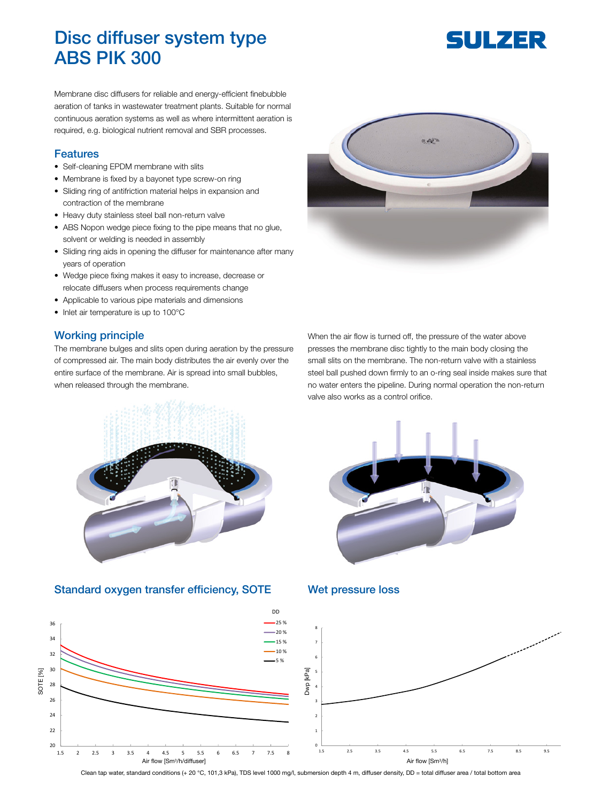## Disc diffuser system type ABS PIK 300

# SULZER

Membrane disc diffusers for reliable and energy-efficient finebubble aeration of tanks in wastewater treatment plants. Suitable for normal continuous aeration systems as well as where intermittent aeration is required, e.g. biological nutrient removal and SBR processes.

#### Features

- Self-cleaning EPDM membrane with slits
- Membrane is fixed by a bayonet type screw-on ring
- Sliding ring of antifriction material helps in expansion and contraction of the membrane
- Heavy duty stainless steel ball non-return valve
- ABS Nopon wedge piece fixing to the pipe means that no glue, solvent or welding is needed in assembly
- Sliding ring aids in opening the diffuser for maintenance after many years of operation
- Wedge piece fixing makes it easy to increase, decrease or relocate diffusers when process requirements change
- Applicable to various pipe materials and dimensions
- Inlet air temperature is up to 100°C

#### Working principle

The membrane bulges and slits open during aeration by the pressure of compressed air. The main body distributes the air evenly over the entire surface of the membrane. Air is spread into small bubbles, when released through the membrane.



When the air flow is turned off, the pressure of the water above presses the membrane disc tightly to the main body closing the small slits on the membrane. The non-return valve with a stainless steel ball pushed down firmly to an o-ring seal inside makes sure that no water enters the pipeline. During normal operation the non-return valve also works as a control orifice.



#### Standard oxygen transfer efficiency, SOTE Wet pressure loss





Clean tap water, standard conditions (+ 20 °C, 101,3 kPa), TDS level 1000 mg/l, submersion depth 4 m, diffuser density, DD = total diffuser area / total bottom area